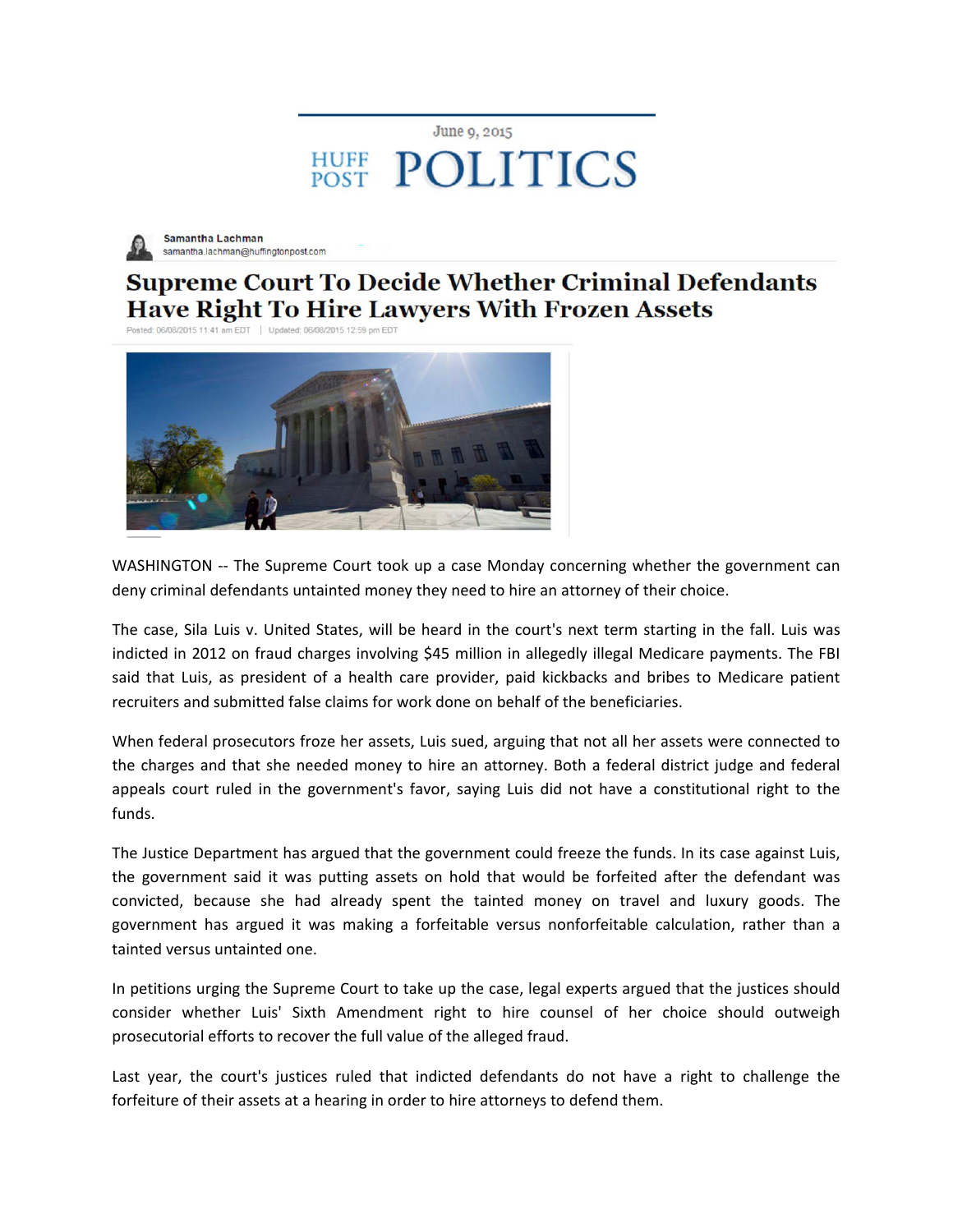## June 9, 2015 **HUFF POLITICS**



Samantha Lachman samantha.lachman@huffingtonpost.com

## **Supreme Court To Decide Whether Criminal Defendants Have Right To Hire Lawyers With Frozen Assets**

Posted: 06/08/2015 11:41 am EDT | Updated: 06/08/2015 12:59 pm EDT



WASHINGTON -- The Supreme Court took up a case Monday concerning whether the government can deny criminal defendants untainted money they need to hire an attorney of their choice.

The case, Sila Luis v. United States, will be heard in the court's next term starting in the fall. Luis was indicted in 2012 on fraud charges involving \$45 million in allegedly illegal Medicare payments. The FBI said that Luis, as president of a health care provider, paid kickbacks and bribes to Medicare patient recruiters and submitted false claims for work done on behalf of the beneficiaries.

When federal prosecutors froze her assets, Luis sued, arguing that not all her assets were connected to the charges and that she needed money to hire an attorney. Both a federal district judge and federal appeals court ruled in the government's favor, saying Luis did not have a constitutional right to the funds.

The Justice Department has argued that the government could freeze the funds. In its case against Luis, the government said it was putting assets on hold that would be forfeited after the defendant was convicted, because she had already spent the tainted money on travel and luxury goods. The government has argued it was making a forfeitable versus nonforfeitable calculation, rather than a tainted versus untainted one.

In petitions urging the Supreme Court to take up the case, legal experts argued that the justices should consider whether Luis' Sixth Amendment right to hire counsel of her choice should outweigh prosecutorial efforts to recover the full value of the alleged fraud.

Last year, the court's justices ruled that indicted defendants do not have a right to challenge the forfeiture of their assets at a hearing in order to hire attorneys to defend them.